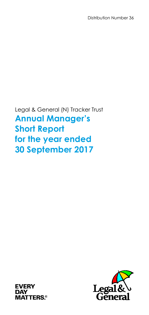Distribution Number 36

Legal & General (N) Tracker Trust **Annual Manager's Short Report for the year ended 30 September 2017**



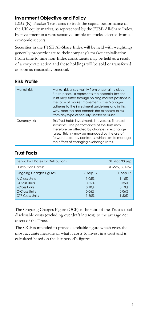# **Investment Objective and Policy**

L&G (N) Tracker Trust aims to track the capital performance of the UK equity market, as represented by the FTSE All-Share Index, by investment in a representative sample of stocks selected from all economic sectors.

Securities in the FTSE All-Share Index will be held with weightings generally proportionate to their company's market capitalisation. From time to time non-Index constituents may be held as a result of a corporate action and these holdings will be sold or transferred as soon as reasonably practical.

# **Risk Profile**

| Market risk   | Market risk arises mainly from uncertainty about<br>future prices. It represents the potential loss the<br>Trust may suffer through holding market positions in<br>the face of market movements. The Manager<br>adheres to the investment guidelines and in this<br>way, monitors and controls the exposure to risk<br>from any type of security, sector or issuer. |
|---------------|---------------------------------------------------------------------------------------------------------------------------------------------------------------------------------------------------------------------------------------------------------------------------------------------------------------------------------------------------------------------|
| Currency risk | This Trust holds investments in overseas financial<br>securities. The performance of the Trust may<br>therefore be affected by changes in exchange<br>rates. This risk may be managed by the use of<br>forward currency contracts, which aim to manage<br>the effect of changing exchange rates.                                                                    |

# **Trust Facts**

| Period End Dates for Distributions: |           | 31 Mar, 30 Sep |
|-------------------------------------|-----------|----------------|
| Distribution Dates:                 |           | 31 May, 30 Nov |
| <b>Ongoing Charges Figures:</b>     | 30 Sep 17 | 30 Sep 16      |
| A-Class Units                       | 1.05%     | 1.15%          |
| F-Class Units                       | 0.35%     | 0.35%          |
| <b>I-Class Units</b>                | 0.10%     | 0.10%          |
| C-Class Units                       | 0.06%     | 0.06%          |
| <b>CTF-Class Units</b>              | 1.50%     | 1.50%          |

The Ongoing Charges Figure (OCF) is the ratio of the Trust's total disclosable costs (excluding overdraft interest) to the average net assets of the Trust.

The OCF is intended to provide a reliable figure which gives the most accurate measure of what it costs to invest in a trust and is calculated based on the last period's figures.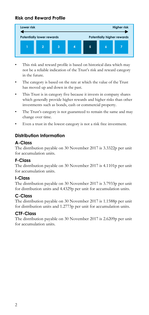# **Risk and Reward Profile**



- This risk and reward profile is based on historical data which may not be a reliable indication of the Trust's risk and reward category in the future.
- The category is based on the rate at which the value of the Trust has moved up and down in the past.
- This Trust is in category five because it invests in company shares which generally provide higher rewards and higher risks than other investments such as bonds, cash or commercial property.
- The Trust's category is not guaranteed to remain the same and may change over time.
- Even a trust in the lowest category is not a risk free investment.

# **Distribution Information**

## **A-Class**

The distribution payable on 30 November 2017 is 3.3322p per unit for accumulation units.

## **F-Class**

The distribution payable on 30 November 2017 is 4.1101p per unit for accumulation units.

## **I-Class**

The distribution payable on 30 November 2017 is 3.7933p per unit for distribution units and 4.4329p per unit for accumulation units.

## **C-Class**

The distribution payable on 30 November 2017 is 1.1588p per unit for distribution units and 1.2773p per unit for accumulation units.

## **CTF-Class**

The distribution payable on 30 November 2017 is 2.6209p per unit for accumulation units.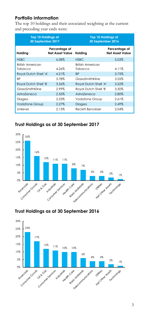# **Portfolio Information**

The top 10 holdings and their associated weighting at the current and preceding year ends were:

| <b>Top 10 Holdings at</b><br>30 September 2017 |                                         | <b>Top 10 Holdings at</b><br>30 September 2016 |                                         |  |
|------------------------------------------------|-----------------------------------------|------------------------------------------------|-----------------------------------------|--|
| Holding                                        | Percentage of<br><b>Net Asset Value</b> | Holding                                        | Percentage of<br><b>Net Asset Value</b> |  |
| <b>HSBC</b>                                    | 6.08%                                   | <b>HSBC</b>                                    | 5.03%                                   |  |
| British American<br>Tobacco                    | 4.26%                                   | <b>British American</b><br>Tobacco             | 4.11%                                   |  |
| Royal Dutch Shell 'A'                          | 4.21%                                   | <b>BP</b>                                      | 3.75%                                   |  |
| ВP                                             | 3.78%                                   | GlaxoSmithKline                                | 3.55%                                   |  |
| Royal Dutch Shell 'B'                          | 3.56%                                   | Royal Dutch Shell 'A'                          | 3.52%                                   |  |
| GlaxoSmithKline                                | 2.99%                                   | Royal Dutch Shell 'B'                          | 3.50%                                   |  |
| AstraZeneca                                    | 2.55%                                   | AstraZeneca                                    | 2.80%                                   |  |
| Diageo                                         | 2.53%                                   | Vodafone Group                                 | 2.61%                                   |  |
| <b>Vodafone Group</b>                          | 2.27%                                   | Diageo                                         | 2.49%                                   |  |
| Unilever                                       | 2.13%                                   | Reckitt Benckiser                              | 2.04%                                   |  |

# **Trust Holdings as at 30 September 2017**



# **Trust Holdings as at 30 September 2016**

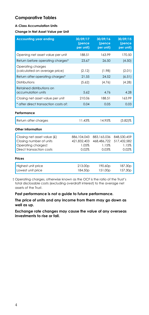## **Comparative Tables**

#### **A-Class Accumulation Units**

#### **Change in Net Asset Value per Unit**

| <b>Accounting year ending</b>                      | 30/09/17<br>(pence<br>per unit) | 30/09/16<br>(pence<br>per unit) | 30/09/15<br>(pence<br>per unit) |
|----------------------------------------------------|---------------------------------|---------------------------------|---------------------------------|
| Opening net asset value per unit                   | 188.51                          | 163.99                          | 170.50                          |
| Return before operating charges*                   | 23.67                           | 26.50                           | (4.50)                          |
| Operating charges<br>(calculated on average price) | (2.12)                          | (1.98)                          | (2.01)                          |
| Return after operating charges*                    | 21.55                           | 24.52                           | (6.51)                          |
| Distributions                                      | (5.62)                          | (4.76)                          | (4.28)                          |
| Retained distributions on<br>accumulation units    | 5.62                            | 4.76                            | 4.28                            |
| Closing net asset value per unit                   | 210.06                          | 188.51                          | 163.99                          |
| * after direct transaction costs of:               | 0.04                            | 0.05                            | 0.03                            |
| Performance                                        |                                 |                                 |                                 |
| Return after charges                               | 11.43%                          | 14.95%                          | $(3.82)\%$                      |
| Other Information                                  |                                 |                                 |                                 |
| Closing net asset value (£)                        | 886,104,043                     | 883,165,036                     | 848,530,459                     |
| Closing number of units<br>Operating chargest      | 421,832,403<br>1.05%            | 468,486,722<br>1.15%            | 517,432,582<br>1.15%            |
| Direct transaction costs                           | 0.02%                           | 0.03%                           | 0.02%                           |
| Prices                                             |                                 |                                 |                                 |
| Highest unit price                                 | 213.00p                         | 190.60p                         | 187.30 <sub>p</sub>             |
| Lowest unit price                                  | 184.50p                         | 151.00p                         | 157.30p                         |

† Operating charges, otherwise known as the OCF is the ratio of the Trust's total disclosable costs (excluding overdraft interest) to the average net assets of the Trust.

**Past performance is not a guide to future performance.**

**The price of units and any income from them may go down as well as up.**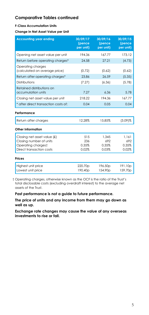#### **F-Class Accumulation Units**

**Change in Net Asset Value per Unit**

| <b>Accounting year ending</b>                                                                            | 30/09/17<br>(pence<br>per unit) | 30/09/16<br>(pence<br>per unit) | 30/09/15<br>(pence<br>per unit) |
|----------------------------------------------------------------------------------------------------------|---------------------------------|---------------------------------|---------------------------------|
| Opening net asset value per unit                                                                         | 194.36                          | 167.77                          | 173.12                          |
| Return before operating charges*                                                                         | 24.58                           | 27.21                           | (4.73)                          |
| Operating charges<br>(calculated on average price)                                                       | (0.72)                          | (0.62)                          | (0.62)                          |
| Return after operating charges*                                                                          | 23.86                           | 26.59                           | (5.35)                          |
| Distributions                                                                                            | (7.27)                          | (6.36)                          | (5.78)                          |
| Retained distributions on<br>accumulation units                                                          | 7.27                            | 6.36                            | 5.78                            |
| Closing net asset value per unit                                                                         | 218.22                          | 194.36                          | 167.77                          |
| * after direct transaction costs of:                                                                     | 0.04                            | 0.05                            | 0.04                            |
| Performance                                                                                              |                                 |                                 |                                 |
| Return after charges                                                                                     | 12.28%                          | 15.85%                          | $(3.09)\%$                      |
| Other Information                                                                                        |                                 |                                 |                                 |
| Closing net asset value (£)<br>Closing number of units<br>Operating chargest<br>Direct transaction costs | 515<br>236<br>0.35%<br>0.02%    | 1.345<br>692<br>0.35%<br>0.03%  | 1.161<br>692<br>0.35%<br>0.02%  |
| Prices                                                                                                   |                                 |                                 |                                 |
| Highest unit price<br>Lowest unit price                                                                  | 220.70p<br>190.40p              | 196.50p<br>154.90p              | 191.10p<br>159.70p              |

† Operating charges, otherwise known as the OCF is the ratio of the Trust's total disclosable costs (excluding overdraft interest) to the average net assets of the Trust.

**Past performance is not a guide to future performance.**

**The price of units and any income from them may go down as well as up.**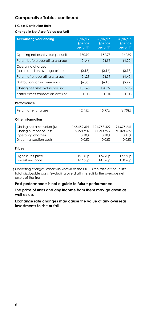### **I-Class Distribution Units**

**Change in Net Asset Value per Unit**

| <b>Accounting year ending</b>                                                                            | 30/09/17<br>(pence<br>per unit)             | 30/09/16<br>(pence<br>per unit)             | 30/09/15<br>(pence<br>per unit)            |
|----------------------------------------------------------------------------------------------------------|---------------------------------------------|---------------------------------------------|--------------------------------------------|
| Opening net asset value per unit                                                                         | 170.97                                      | 152.73                                      | 162.92                                     |
| Return before operating charges*                                                                         | 21.46                                       | 24.55                                       | (4.22)                                     |
| Operating charges<br>(calculated on average price)                                                       | (0.18)                                      | (0.16)                                      | (0.18)                                     |
| Return after operating charges*                                                                          | 21.28                                       | 24.39                                       | (4.40)                                     |
| Distributions on income units                                                                            | (6.80)                                      | (6.15)                                      | (5.79)                                     |
| Closing net asset value per unit                                                                         | 185.45                                      | 170.97                                      | 152.73                                     |
| * after direct transaction costs of:                                                                     | 0.03                                        | 0.04                                        | 0.03                                       |
| Performance                                                                                              |                                             |                                             |                                            |
| Return after charges                                                                                     | 12.45%                                      | 15.97%                                      | $(2.70)$ %                                 |
| Other Information                                                                                        |                                             |                                             |                                            |
| Closing net asset value (£)<br>Closing number of units<br>Operating chargest<br>Direct transaction costs | 165.459.391<br>89.221.907<br>0.10%<br>0.02% | 121.758.429<br>71.214.979<br>0.10%<br>0.03% | 91.675.241<br>60,024,599<br>0.11%<br>0.02% |
| Prices                                                                                                   |                                             |                                             |                                            |
| Highest unit price<br>Lowest unit price                                                                  | 191.40 <sub>p</sub><br>167.50 <sub>p</sub>  | 176.20p<br>141.20 <sub>p</sub>              | 177.50p<br>150.40p                         |

† Operating charges, otherwise known as the OCF is the ratio of the Trust's total disclosable costs (excluding overdraft interest) to the average net assets of the Trust.

**Past performance is not a guide to future performance.**

**The price of units and any income from them may go down as well as up.**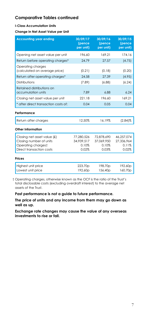#### **I-Class Accumulation Units**

**Change in Net Asset Value per Unit**

| <b>Accounting year ending</b>                                                                            | 30/09/17<br>(pence<br>per unit)            | 30/09/16<br>(pence<br>per unit)            | 30/09/15<br>(pence<br>per unit)            |
|----------------------------------------------------------------------------------------------------------|--------------------------------------------|--------------------------------------------|--------------------------------------------|
| Opening net asset value per unit                                                                         | 196.60                                     | 169.21                                     | 174.16                                     |
| Return before operating charges*                                                                         | 24.79                                      | 27.57                                      | (4.75)                                     |
| Operating charges<br>(calculated on average price)                                                       | (0.21)                                     | (0.18)                                     | (0.20)                                     |
| Return after operating charges*                                                                          | 24.58                                      | 27.39                                      | (4.95)                                     |
| Distributions                                                                                            | (7.89)                                     | (6.88)                                     | (6.24)                                     |
| Retained distributions on<br>accumulation units                                                          | 7.89                                       | 6.88                                       | 6.24                                       |
| Closing net asset value per unit                                                                         | 221.18                                     | 196.60                                     | 169.21                                     |
| * after direct transaction costs of:                                                                     | 0.04                                       | 0.05                                       | 0.04                                       |
| Performance                                                                                              |                                            |                                            |                                            |
| Return after charges                                                                                     | 12.50%                                     | 16.19%                                     | $(2.84)\%$                                 |
| Other Information                                                                                        |                                            |                                            |                                            |
| Closing net asset value (£)<br>Closing number of units<br>Operating chargest<br>Direct transaction costs | 77.280.526<br>34.939.517<br>0.10%<br>0.02% | 72.878.690<br>37.069.950<br>0.10%<br>0.03% | 46.257.074<br>27.336.964<br>0.11%<br>0.02% |
| Prices                                                                                                   |                                            |                                            |                                            |
| Highest unit price<br>Lowest unit price                                                                  | 223.70p<br>192.60 <sub>p</sub>             | 198.70p<br>156.40 <sub>p</sub>             | 192.60p<br>160.70 <sub>p</sub>             |

† Operating charges, otherwise known as the OCF is the ratio of the Trust's total disclosable costs (excluding overdraft interest) to the average net assets of the Trust.

**Past performance is not a guide to future performance.**

**The price of units and any income from them may go down as well as up.**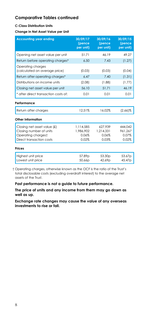### **C-Class Distribution Units**

**Change in Net Asset Value per Unit**

| <b>Accounting year ending</b>                      | 30/09/17<br>(pence<br>per unit) | 30/09/16<br>(pence<br>per unit) | 30/09/15<br>(pence<br>per unit) |
|----------------------------------------------------|---------------------------------|---------------------------------|---------------------------------|
| Opening net asset value per unit                   | 51.71                           | 46.19                           | 49.27                           |
| Return before operating charges*                   | 6.50                            | 7.43                            | (1.27)                          |
| Operating charges<br>(calculated on average price) | (0.03)                          | (0.03)                          | (0.04)                          |
| Return after operating charges*                    | 6.47                            | 7.40                            | (1.31)                          |
| Distributions on income units                      | (2.08)                          | (1.88)                          | (1.77)                          |
| Closing net asset value per unit                   | 56.10                           | 51.71                           | 46.19                           |
| * after direct transaction costs of:               | 0.01                            | 0.01                            | 0.01                            |
| Performance                                        |                                 |                                 |                                 |
| Return after charges                               | 12.51%                          | 16.02%                          | $(2.66)$ %                      |
| Other Information                                  |                                 |                                 |                                 |
| Closing net asset value (£)                        | 1.114.585                       | 627,939                         | 444.042                         |
| Closing number of units<br>Operating chargest      | 1.986.902<br>0.06%              | 1.214.331<br>0.06%              | 961.267<br>0.07%                |
| Direct transaction costs                           | 0.02%                           | 0.03%                           | 0.02%                           |
| <b>Prices</b>                                      |                                 |                                 |                                 |
| Highest unit price                                 | 57.89p                          | 53.30 <sub>p</sub>              | 53.67p                          |
| Lowest unit price                                  | 50.66p                          | 42.69p                          | 45.47p                          |

† Operating charges, otherwise known as the OCF is the ratio of the Trust's total disclosable costs (excluding overdraft interest) to the average net assets of the Trust.

**Past performance is not a guide to future performance.**

**The price of units and any income from them may go down as well as up.**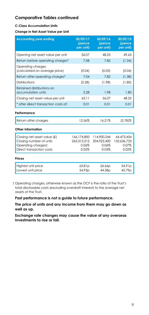#### **C-Class Accumulation Units**

**Change in Net Asset Value per Unit**

| <b>Accounting year ending</b>                                                                            | 30/09/17<br>(pence<br>per unit)              | 30/09/16<br>(pence<br>per unit)              | 30/09/15<br>(pence<br>per unit)             |
|----------------------------------------------------------------------------------------------------------|----------------------------------------------|----------------------------------------------|---------------------------------------------|
| Opening net asset value per unit                                                                         | 56.07                                        | 48.25                                        | 49.63                                       |
| Return before operating charges*                                                                         | 7.08                                         | 7.85                                         | (1.34)                                      |
| Operating charges<br>(calculated on average price)                                                       | (0.04)                                       | (0.03)                                       | (0.04)                                      |
| Return after operating charges*                                                                          | 7.04                                         | 7.82                                         | (1.38)                                      |
| Distributions                                                                                            | (2.28)                                       | (1.98)                                       | (1.80)                                      |
| Retained distributions on<br>accumulation units                                                          | 2.28                                         | 1.98                                         | 1.80                                        |
| Closing net asset value per unit                                                                         | 63.11                                        | 56.07                                        | 48.25                                       |
| * after direct transaction costs of:                                                                     | 0.01                                         | 0.01                                         | 0.01                                        |
| Performance                                                                                              |                                              |                                              |                                             |
| Return after charges                                                                                     | 12.56%                                       | 16.21%                                       | $(2.78)\%$                                  |
| Other Information                                                                                        |                                              |                                              |                                             |
| Closing net asset value (£)<br>Closing number of units<br>Operating chargest<br>Direct transaction costs | 166,174,800<br>263.315.212<br>0.06%<br>0.02% | 114,900,244<br>204,922,400<br>0.06%<br>0.03% | 64.473.454<br>133.636.733<br>0.07%<br>0.02% |
| Prices                                                                                                   |                                              |                                              |                                             |
| Highest unit price<br>Lowest unit price                                                                  | 63.81 <sub>p</sub><br>54.93p                 | 56.66p<br>44.58p                             | 54.91 <sub>p</sub><br>45.79p                |

† Operating charges, otherwise known as the OCF is the ratio of the Trust's total disclosable costs (excluding overdraft interest) to the average net assets of the Trust.

**Past performance is not a guide to future performance.**

**The price of units and any income from them may go down as well as up.**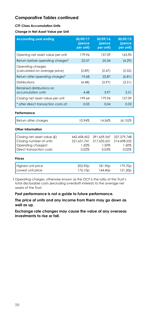#### **CTF-Class Accumulation Units**

#### **Change in Net Asset Value per Unit**

| <b>Accounting year ending</b>                                                                            | 30/09/17<br>(pence<br>per unit)              | 30/09/16<br>(pence<br>per unit)              | 30/09/15<br>(pence<br>per unit)              |
|----------------------------------------------------------------------------------------------------------|----------------------------------------------|----------------------------------------------|----------------------------------------------|
| Opening net asset value per unit                                                                         | 179.96                                       | 157.09                                       | 163.90                                       |
| Return before operating charges*                                                                         | 22.57                                        | 25.34                                        | (4.29)                                       |
| Operating charges<br>(calculated on average price)                                                       | (2.89)                                       | (2.47)                                       | (2.52)                                       |
| Return after operating charges*                                                                          | 19.68                                        | 22.87                                        | (6.81)                                       |
| Distributions                                                                                            | (4.48)                                       | (3.97)                                       | (3.51)                                       |
| Retained distributions on<br>accumulation units                                                          | 4.48                                         | 3.97                                         | 3.51                                         |
| Closing net asset value per unit                                                                         | 199.64                                       | 179.96                                       | 157.09                                       |
| * after direct transaction costs of:                                                                     | 0.03                                         | 0.04                                         | 0.03                                         |
| Performance                                                                                              |                                              |                                              |                                              |
| Return after charges                                                                                     | 10.94%                                       | 14.56%                                       | $(4.15)\%$                                   |
| Other Information                                                                                        |                                              |                                              |                                              |
| Closing net asset value (£)<br>Closing number of units<br>Operating chargest<br>Direct transaction costs | 442.458.452<br>221.631.741<br>1.50%<br>0.02% | 391.659.347<br>217,632,631<br>1.50%<br>0.03% | 337.279.748<br>214,698,532<br>1.50%<br>0.02% |
| Prices                                                                                                   |                                              |                                              |                                              |
| Highest unit price<br>Lowest unit price                                                                  | 202.90p<br>176.10p                           | 181.90p<br>144.40 <sub>p</sub>               | 179.70p<br>151.20p                           |

† Operating charges, otherwise known as the OCF is the ratio of the Trust's total disclosable costs (excluding overdraft interest) to the average net assets of the Trust.

**Past performance is not a guide to future performance.**

**The price of units and any income from them may go down as well as up.**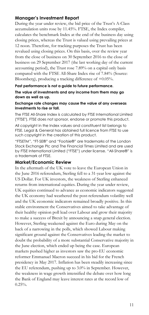## **Manager's Investment Report**

During the year under review, the bid price of the Trust's A-Class accumulation units rose by 11.45%. FTSE, the Index compiler, calculates the benchmark Index at the end of the business day using closing prices, whereas the Trust is valued using prevailing prices at 12 noon. Therefore, for tracking purposes the Trust has been revalued using closing prices. On this basis, over the review year from the close of business on 30 September 2016 to the close of business on 29 September 2017 (the last working day of the current accounting period), the Trust rose 7.89% on a capital only basis compared with the FTSE All-Share Index rise of 7.84% (Source: Bloomberg), producing a tracking difference of +0.05%.

### **Past performance is not a guide to future performance. The value of investments and any income from them may go down as well as up.**

### **Exchange rate changes may cause the value of any overseas investments to rise or fall.**

The FTSE All-Share Index is calculated by FTSE International Limited ("FTSE"). FTSE does not sponsor, endorse or promote this product.

All copyright in the Index values and constituent list belongs to FTSE. Legal & General has obtained full licence from FTSE to use such copyright in the creation of this product.

"FTSETM", "FT-SE®" and "Footsie®" are trademarks of the London Stock Exchange Plc and The Financial Times Limited and are used by FTSE International Limited ("FTSE") under license. "All-Share®" is a trademark of FTSE.

## **Market/Economic Review**

In the aftermath of the UK vote to leave the European Union in the June 2016 referendum, Sterling fell to a 31-year low against the US Dollar. For UK investors, the weakness of Sterling enhanced returns from international equities. During the year under review, UK equities continued to advance as economic indicators suggested the UK economy had weathered the post-referendum volatility well and the UK economic indicators remained broadly positive. In this stable environment the Conservatives aimed to take advantage of their healthy opinion poll lead over Labour and grow their majority to make a success of Brexit by announcing a snap general election. However, Sterling weakened against the Euro during May on the back of a narrowing in the polls, which showed Labour making significant ground against the Conservatives leading the market to doubt the probability of a more substantial Conservative majority in the June election, which ended up being the case. European markets pushed higher as investors saw the pro-EU economic reformer Emmanuel Macron succeed in his bid for the French presidency in May 2017. Inflation has been steadily increasing since the EU referendum, pushing up to 3.0% in September. However, the weakness in wage growth intensified the debate over how long the Bank of England may leave interest rates at the record low of  $0.25\%$ .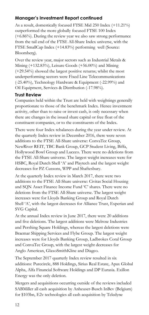# **Manager's Investment Report continued**

As a result, domestically focused FTSE Mid 250 Index (+11.21%) outperformed the more globally focused FTSE 100 Index (+6.86%). During the review year we also saw strong performance from the tail end of the FTSE All-Share Index universe, with the FTSE SmallCap Index (+14.83%) performing well (Source: Bloomberg).

Over the review year, major sectors such as Industrial Metals & Mining (+132.83%), Leisure Goods (+56.00%) and Mining (+29.54%) showed the largest positive returns; whilst the most underperforming sectors were Fixed Line Telecommunications (-25.40%), Technology Hardware & Equipment (-22.99%) and Oil Equipment, Services & Distribution (-17.98%).

## **Trust Review**

Companies held within the Trust are held with weightings generally proportionate to those of the benchmark Index. Hence investment activity, other than to raise or invest cash, is only necessary when there are changes in the issued share capital or free float of the constituent companies, or to the constituents of the Index.

There were four Index rebalances during the year under review. At the quarterly Index review in December 2016, there were seven additions to the FTSE All-Share universe: ConvaTec Group, NewRiver REIT, TBC Bank Group, GCP Student Living, Biffa, Hollywood Bowl Group and Luceco. There were no deletions from the FTSE All-Share universe. The largest weight increases were for HSBC, Royal Dutch Shell 'A' and Playtech and the largest weight decreases for PZ Cussons, WPP and Shaftesbury.

At the quarterly Index review in March 2017, there were two additions to the FTSE All-Share universe: Civitas Social Housing and SQN Asset Finance Income Fund 'C' shares. There were no deletions from the FTSE All-Share universe. The largest weight increases were for Lloyds Banking Group and Royal Dutch Shell 'A', with the largest decreases for Alliance Trust, Experian and SVG Capital.

At the annual Index review in June 2017, there were 20 additions and five deletions. The largest additions were Melrose Industries and Pershing Square Holdings, whereas the largest deletions were Braemar Shipping Services and Flybe Group. The largest weight increases were for Lloyds Banking Group, Ladbrokes Coral Group and ConvaTec Group, with the largest weight decreases for Anglo American, GlaxoSmithKline and Diageo.

The September 2017 quarterly Index review resulted in six additions: Purecircle, 888 Holdings, Sirius Real Estate, Apax Global Alpha, Alfa Financial Software Holdings and DP Eurasia. Exillon Energy was the only deletion.

Mergers and acquisitions occurring outside of the reviews included SABMiller all cash acquisition by Anheuser-Busch InBev (Belgium) for \$103bn, E2v technologies all cash acquisition by Teledyne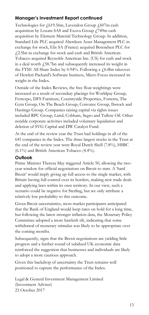# **Manager's Investment Report continued**

Technologies for £619.56m, Lavendon Group £607m cash acquisition by Loxam SAS and Exova Group £749m cash acquisition by Element Material Technology Group. In addition, Standard Life PLC acquired Aberdeen Asset Management PLC in exchange for stock, Elis SA (France) acquired Berendsen PLC for £2.5bn in exchange for stock and cash and British American Tobacco acquired Reynolds American Inc. (US) for cash and stock in a deal worth  $\sqrt{58.7}$ bn and subsequently increased its weight in the FTSE All Share Index by 0.94%. Following a  $f$  6.8bn takeover of Hewlett Packard's Software business, Micro Focus increased its weight in the Index.

Outside of the Index Reviews, the free float weightings were increased as a result of secondary placings for Worldpay Group, Ferrexpo, DFS Furniture, Countryside Properties, Forterra, The Gym Group, On The Beach Group, Convatec Group, Ibstock and Hastings Group. Companies raising capital via rights issues included RPC Group, Laird, Cobham, Segro and Tullow Oil. Other notable corporate activities included voluntary liquidation and deletion of SVG Capital and DW Catalyst Fund.

At the end of the review year the Trust had holdings in all of the 641 companies in the Index. The three largest stocks in the Trust at the end of the review year were Royal Dutch Shell (7.8%), HSBC (6.1%) and British American Tobacco (4.4%).

### **Outlook**

Prime Minister Theresa May triggered Article 50, allowing the twoyear window for official negotiations on Brexit to start. A 'hard Brexit' would imply giving up full access to the single market, with Britain having full control over its borders, making new trade deals and applying laws within its own territory. In our view, such a scenario could be negative for Sterling, but we only attribute a relatively low probability to this outcome.

Given Brexit uncertainties, most market participants anticipated that the Bank of England would keep rates on hold for a long time, but following the latest stronger inflation data, the Monetary Policy Committee adopted a more hawkish tilt, indicating that some withdrawal of monetary stimulus was likely to be appropriate over the coming months.

Subsequently, signs that the Brexit negotiations are yielding little progress and a further round of subdued UK economic data reinforced the suggestion that businesses and individuals are likely to adopt a more cautious approach.

Given this backdrop of uncertainty the Trust remains well positioned to capture the performance of the Index.

Legal & General Investment Management Limited (Investment Adviser) 23 October 2017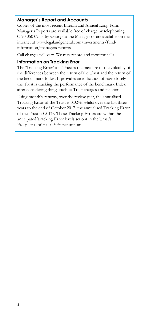# **Manager's Report and Accounts**

Copies of the most recent Interim and Annual Long Form Manager's Reports are available free of charge by telephoning 0370 050 0955, by writing to the Manager or are available on the internet at www.legalandgeneral.com/investments/fundinformation/managers-reports.

Call charges will vary. We may record and monitor calls.

### **Information on Tracking Error**

The 'Tracking Error' of a Trust is the measure of the volatility of the differences between the return of the Trust and the return of the benchmark Index. It provides an indication of how closely the Trust is tracking the performance of the benchmark Index after considering things such as Trust charges and taxation.

Using monthly returns, over the review year, the annualised Tracking Error of the Trust is 0.02%, whilst over the last three years to the end of October 2017, the annualised Tracking Error of the Trust is 0.01%. These Tracking Errors are within the anticipated Tracking Error levels set out in the Trust's Prospectus of  $+/- 0.50\%$  per annum.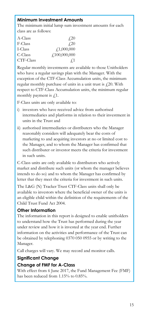# **Minimum Investment Amounts**

The minimum initial lump sum investment amounts for each class are as follows:

| A-Class   | $\angle 20$                    |
|-----------|--------------------------------|
| F-Class   | $\sqrt{20}$                    |
| I-Class   | $\textcolor{red}{f_1,000,000}$ |
| C-Class   | f100,000,000                   |
| CTF-Class | $\pm 1$                        |

Regular monthly investments are available to those Unitholders who have a regular savings plan with the Manager. With the exception of the CTF-Class Accumulation units, the minimum regular monthly purchase of units in a unit trust is  $f(20)$ . With respect to CTF-Class Accumulation units, the minimum regular monthly payment is  $f$ .1.

F-Class units are only available to:

- i) investors who have received advice from authorised intermediaries and platforms in relation to their investment in units in the Trust and
- ii) authorised intermediaries or distributers who the Manager reasonably considers will adequately bear the costs of marketing to and acquiring investors at no or limited cost to the Manager, and to whom the Manager has confirmed that such distributer or investor meets the criteria for investment in such units.

C-Class units are only available to distributors who actively market and distribute such units (or whom the manager believes intends to do so) and to whom the Manager has confirmed by letter that they meet the criteria for investment in such units.

The L&G (N) Tracker Trust CTF-Class units shall only be available to investors where the beneficial owner of the units is an eligible child within the definition of the requirements of the Child Trust Fund Act 2004.

# **Other Information**

The information in this report is designed to enable unitholders to understand how the Trust has performed during the year under review and how it is invested at the year end. Further information on the activities and performance of the Trust can be obtained by telephoning 0370 050 0955 or by writing to the Manager.

Call charges will vary. We may record and monitor calls.

# **Significant Change**

# **Change of FMF for A-Class**

With effect from 6 June 2017, the Fund Management Fee (FMF) has been reduced from 1.15% to 0.85%.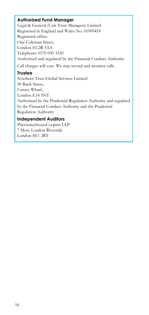# **Authorised Fund Manager**

Legal & General (Unit Trust Managers) Limited Registered in England and Wales No. 01009418 Registered office: One Coleman Street, London EC2R 5AA Telephone: 0370 050 3350 Authorised and regulated by the Financial Conduct Authority

Call charges will vary. We may record and monitor calls.

# **Trustee**

Northern Trust Global Services Limited 50 Bank Street, Canary Wharf, London E14 5NT Authorised by the Prudential Regulation Authority and regulated by the Financial Conduct Authority and the Prudential Regulation Authority

# **Independent Auditors**

PricewaterhouseCoopers LLP 7 More London Riverside London SE1 2RT